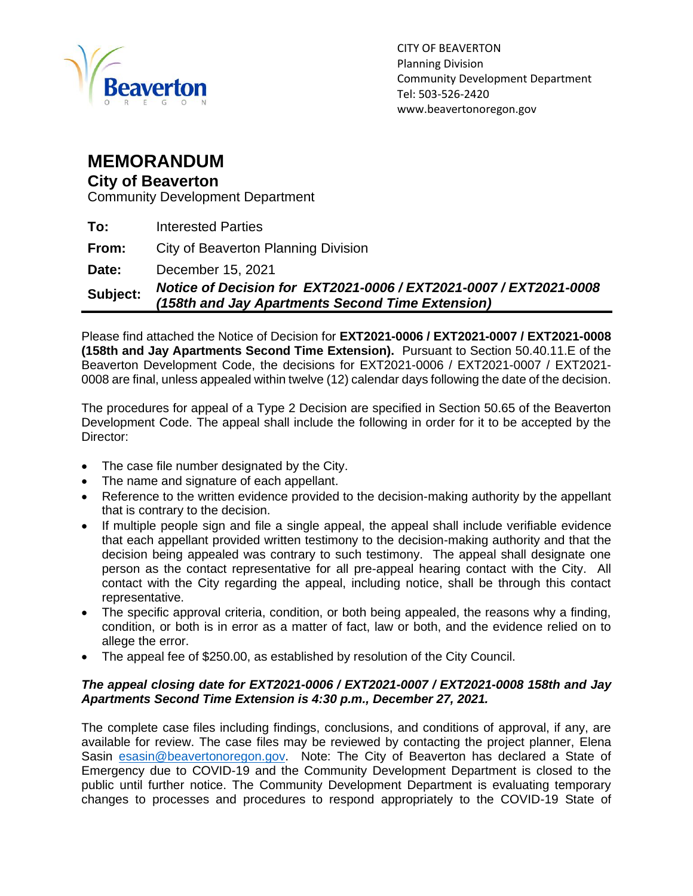

## **MEMORANDUM**

## **City of Beaverton**

Community Development Department

| Subject: | Notice of Decision for EXT2021-0006 / EXT2021-0007 / EXT2021-0008<br>(158th and Jay Apartments Second Time Extension) |
|----------|-----------------------------------------------------------------------------------------------------------------------|
| Date:    | December 15, 2021                                                                                                     |
| From:    | City of Beaverton Planning Division                                                                                   |
| To:      | <b>Interested Parties</b>                                                                                             |

Please find attached the Notice of Decision for **EXT2021-0006 / EXT2021-0007 / EXT2021-0008 (158th and Jay Apartments Second Time Extension).** Pursuant to Section 50.40.11.E of the Beaverton Development Code, the decisions for EXT2021-0006 / EXT2021-0007 / EXT2021- 0008 are final, unless appealed within twelve (12) calendar days following the date of the decision.

The procedures for appeal of a Type 2 Decision are specified in Section 50.65 of the Beaverton Development Code. The appeal shall include the following in order for it to be accepted by the Director:

- The case file number designated by the City.
- The name and signature of each appellant.
- Reference to the written evidence provided to the decision-making authority by the appellant that is contrary to the decision.
- If multiple people sign and file a single appeal, the appeal shall include verifiable evidence that each appellant provided written testimony to the decision-making authority and that the decision being appealed was contrary to such testimony. The appeal shall designate one person as the contact representative for all pre-appeal hearing contact with the City. All contact with the City regarding the appeal, including notice, shall be through this contact representative.
- The specific approval criteria, condition, or both being appealed, the reasons why a finding, condition, or both is in error as a matter of fact, law or both, and the evidence relied on to allege the error.
- The appeal fee of \$250.00, as established by resolution of the City Council.

## *The appeal closing date for EXT2021-0006 / EXT2021-0007 / EXT2021-0008 158th and Jay Apartments Second Time Extension is 4:30 p.m., December 27, 2021.*

The complete case files including findings, conclusions, and conditions of approval, if any, are available for review. The case files may be reviewed by contacting the project planner, Elena Sasin [esasin@beavertonoregon.gov.](mailto:esasin@beavertonoregon.gov) Note: The City of Beaverton has declared a State of Emergency due to COVID-19 and the Community Development Department is closed to the public until further notice. The Community Development Department is evaluating temporary changes to processes and procedures to respond appropriately to the COVID-19 State of